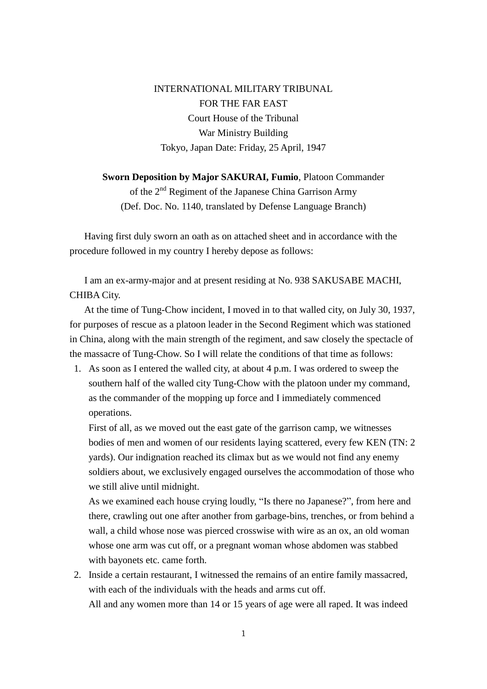INTERNATIONAL MILITARY TRIBUNAL FOR THE FAR EAST Court House of the Tribunal War Ministry Building Tokyo, Japan Date: Friday, 25 April, 1947

**Sworn Deposition by Major SAKURAI, Fumio**, Platoon Commander of the 2nd Regiment of the Japanese China Garrison Army (Def. Doc. No. 1140, translated by Defense Language Branch)

Having first duly sworn an oath as on attached sheet and in accordance with the procedure followed in my country I hereby depose as follows:

 I am an ex-army-major and at present residing at No. 938 SAKUSABE MACHI, CHIBA City.

 At the time of Tung-Chow incident, I moved in to that walled city, on July 30, 1937, for purposes of rescue as a platoon leader in the Second Regiment which was stationed in China, along with the main strength of the regiment, and saw closely the spectacle of the massacre of Tung-Chow. So I will relate the conditions of that time as follows:

1. As soon as I entered the walled city, at about 4 p.m. I was ordered to sweep the southern half of the walled city Tung-Chow with the platoon under my command, as the commander of the mopping up force and I immediately commenced operations.

First of all, as we moved out the east gate of the garrison camp, we witnesses bodies of men and women of our residents laying scattered, every few KEN (TN: 2 yards). Our indignation reached its climax but as we would not find any enemy soldiers about, we exclusively engaged ourselves the accommodation of those who we still alive until midnight.

As we examined each house crying loudly, "Is there no Japanese?", from here and there, crawling out one after another from garbage-bins, trenches, or from behind a wall, a child whose nose was pierced crosswise with wire as an ox, an old woman whose one arm was cut off, or a pregnant woman whose abdomen was stabbed with bayonets etc. came forth.

2. Inside a certain restaurant, I witnessed the remains of an entire family massacred, with each of the individuals with the heads and arms cut off. All and any women more than 14 or 15 years of age were all raped. It was indeed